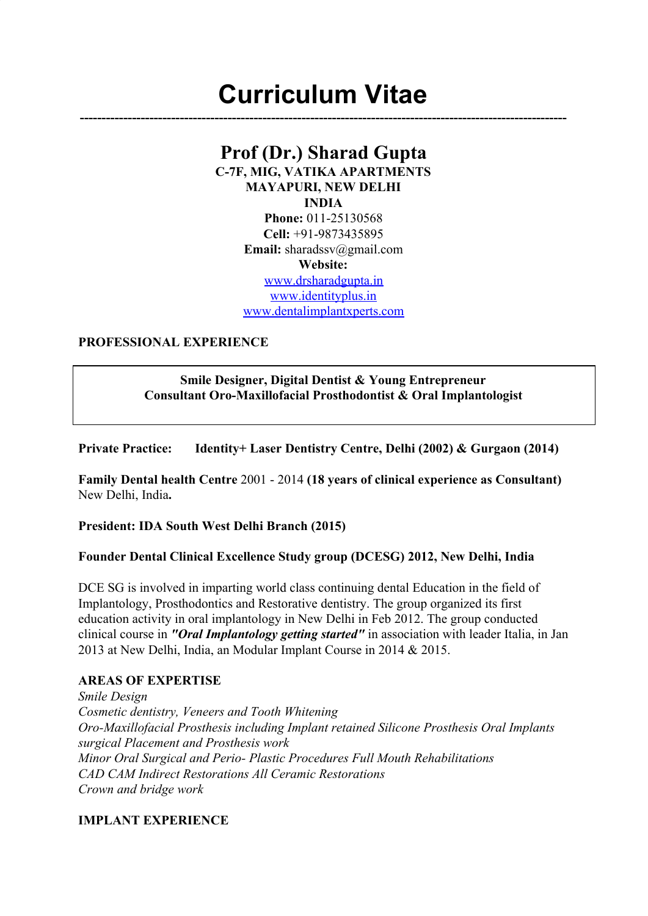# **Curriculum Vitae**

**----------------------------------------------------------------------------------------------------------------**

## **Prof (Dr.) Sharad Gupta**

**C-7F, MIG, VATIKA APARTMENTS MAYAPURI, NEW DELHI INDIA**

**Phone:** 011-25130568 **Cell:** +91-9873435895 **Email:** sharadssv@gmail.com **Website:** www.drsharadgupta.in www.identityplus.in www.dentalimplantxperts.com

#### **PROFESSIONAL EXPERIENCE**

## **Smile Designer, Digital Dentist & Young Entrepreneur Consultant Oro-Maxillofacial Prosthodontist & Oral Implantologist**

**Private Practice: Identity+ Laser Dentistry Centre, Delhi (2002) & Gurgaon (2014)**

**Family Dental health Centre** 2001 - 2014 **(18 years of clinical experience as Consultant)** New Delhi, India**.**

**President: IDA South West Delhi Branch (2015)**

## **Founder Dental Clinical Excellence Study group (DCESG) 2012, New Delhi, India**

DCE SG is involved in imparting world class continuing dental Education in the field of Implantology, Prosthodontics and Restorative dentistry. The group organized its first education activity in oral implantology in New Delhi in Feb 2012. The group conducted clinical course in *"Oral Implantology getting started"* in association with leader Italia, in Jan 2013 at New Delhi, India, an Modular Implant Course in 2014 & 2015.

## **AREAS OF EXPERTISE**

*Smile Design Cosmetic dentistry, Veneers and Tooth Whitening Oro-Maxillofacial Prosthesis including Implant retained Silicone Prosthesis Oral Implants surgical Placement and Prosthesis work Minor Oral Surgical and Perio- Plastic Procedures Full Mouth Rehabilitations CAD CAM Indirect Restorations All Ceramic Restorations Crown and bridge work*

## **IMPLANT EXPERIENCE**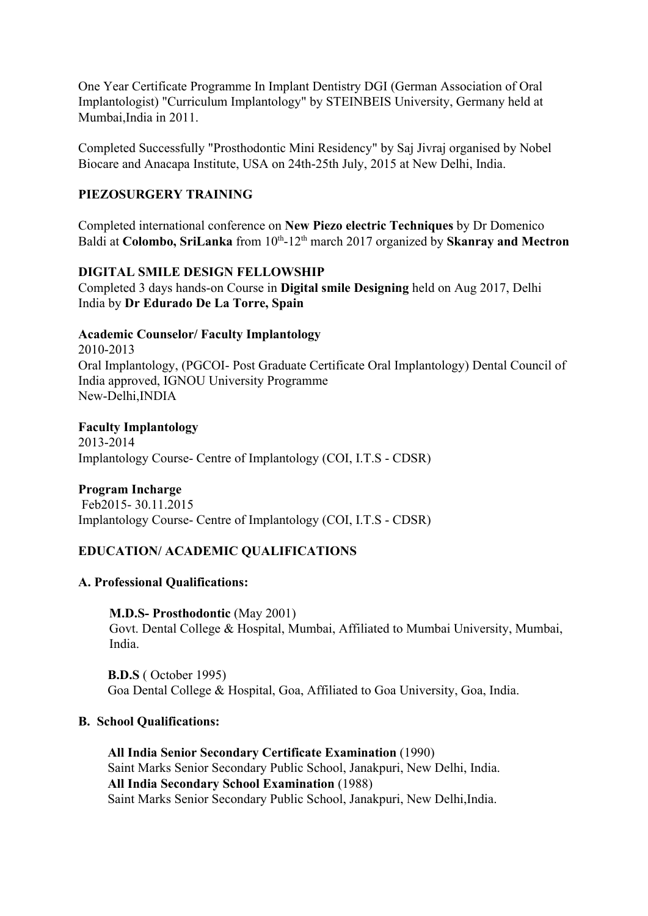One Year Certificate Programme In Implant Dentistry DGI (German Association of Oral Implantologist) "Curriculum Implantology" by STEINBEIS University, Germany held at Mumbai,India in 2011.

Completed Successfully "Prosthodontic Mini Residency" by Saj Jivraj organised by Nobel Biocare and Anacapa Institute, USA on 24th-25th July, 2015 at New Delhi, India.

## **PIEZOSURGERY TRAINING**

Completed international conference on **New Piezo electric Techniques** by Dr Domenico Baldi at Colombo, SriLanka from 10<sup>th</sup>-12<sup>th</sup> march 2017 organized by Skanray and Mectron

## **DIGITAL SMILE DESIGN FELLOWSHIP**

Completed 3 days hands-on Course in **Digital smile Designing** held on Aug 2017, Delhi India by **Dr Edurado De La Torre, Spain**

#### **Academic Counselor/ Faculty Implantology**

2010-2013 Oral Implantology, (PGCOI- Post Graduate Certificate Oral Implantology) Dental Council of India approved, IGNOU University Programme New-Delhi,INDIA

#### **Faculty Implantology**

2013-2014 Implantology Course- Centre of Implantology (COI, I.T.S - CDSR)

## **Program Incharge**

 Feb2015- 30.11.2015 Implantology Course- Centre of Implantology (COI, I.T.S - CDSR)

## **EDUCATION/ ACADEMIC QUALIFICATIONS**

#### **A. Professional Qualifications:**

#### **M.D.S- Prosthodontic** (May 2001)

Govt. Dental College & Hospital, Mumbai, Affiliated to Mumbai University, Mumbai, India.

 **B.D.S** ( October 1995) Goa Dental College & Hospital, Goa, Affiliated to Goa University, Goa, India.

#### **B. School Qualifications:**

 **All India Senior Secondary Certificate Examination** (1990) Saint Marks Senior Secondary Public School, Janakpuri, New Delhi, India. **All India Secondary School Examination** (1988) Saint Marks Senior Secondary Public School, Janakpuri, New Delhi,India.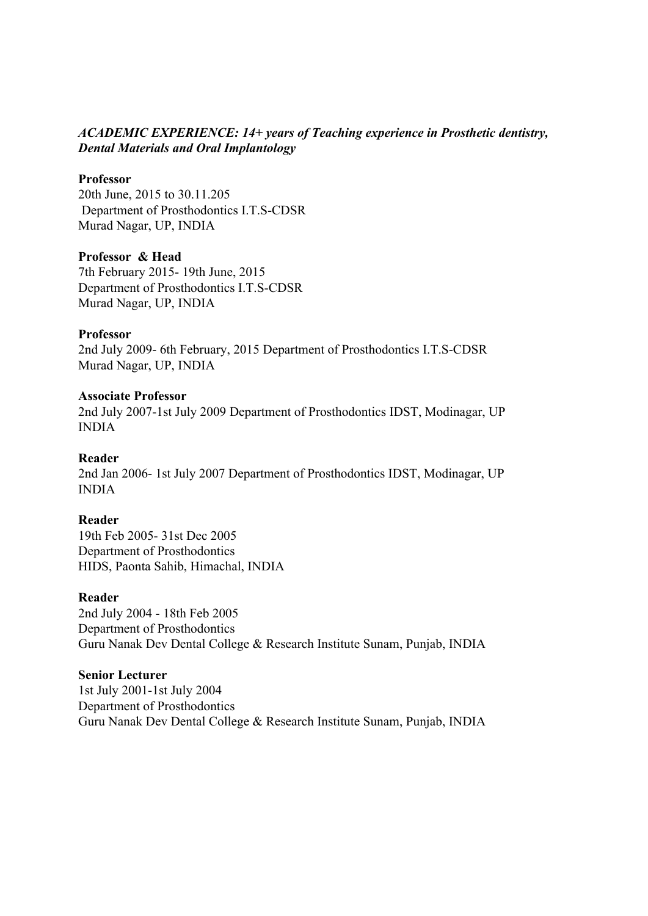## *ACADEMIC EXPERIENCE: 14+ years of Teaching experience in Prosthetic dentistry, Dental Materials and Oral Implantology*

#### **Professor**

20th June, 2015 to 30.11.205 Department of Prosthodontics I.T.S-CDSR Murad Nagar, UP, INDIA

#### **Professor & Head**

7th February 2015- 19th June, 2015 Department of Prosthodontics I.T.S-CDSR Murad Nagar, UP, INDIA

#### **Professor**

2nd July 2009- 6th February, 2015 Department of Prosthodontics I.T.S-CDSR Murad Nagar, UP, INDIA

#### **Associate Professor**

2nd July 2007-1st July 2009 Department of Prosthodontics IDST, Modinagar, UP INDIA

#### **Reader**

2nd Jan 2006- 1st July 2007 Department of Prosthodontics IDST, Modinagar, UP INDIA

#### **Reader**

19th Feb 2005- 31st Dec 2005 Department of Prosthodontics HIDS, Paonta Sahib, Himachal, INDIA

#### **Reader**

2nd July 2004 - 18th Feb 2005 Department of Prosthodontics Guru Nanak Dev Dental College & Research Institute Sunam, Punjab, INDIA

#### **Senior Lecturer**

1st July 2001-1st July 2004 Department of Prosthodontics Guru Nanak Dev Dental College & Research Institute Sunam, Punjab, INDIA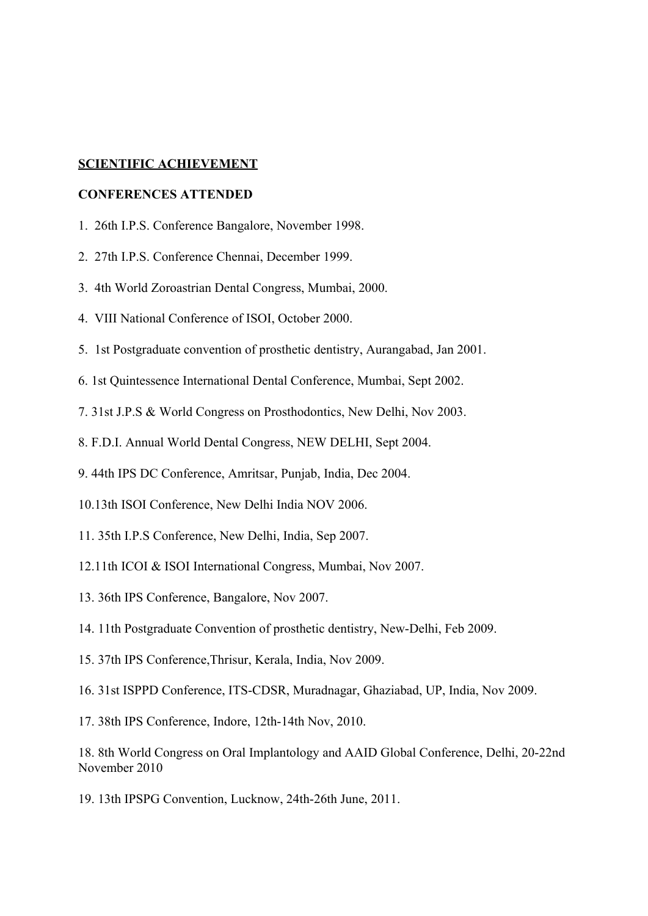## **SCIENTIFIC ACHIEVEMENT**

#### **CONFERENCES ATTENDED**

- 1. 26th I.P.S. Conference Bangalore, November 1998.
- 2. 27th I.P.S. Conference Chennai, December 1999.
- 3. 4th World Zoroastrian Dental Congress, Mumbai, 2000.
- 4. VIII National Conference of ISOI, October 2000.
- 5. 1st Postgraduate convention of prosthetic dentistry, Aurangabad, Jan 2001.
- 6. 1st Quintessence International Dental Conference, Mumbai, Sept 2002.
- 7. 31st J.P.S & World Congress on Prosthodontics, New Delhi, Nov 2003.
- 8. F.D.I. Annual World Dental Congress, NEW DELHI, Sept 2004.
- 9. 44th IPS DC Conference, Amritsar, Punjab, India, Dec 2004.
- 10.13th ISOI Conference, New Delhi India NOV 2006.
- 11. 35th I.P.S Conference, New Delhi, India, Sep 2007.
- 12.11th ICOI & ISOI International Congress, Mumbai, Nov 2007.
- 13. 36th IPS Conference, Bangalore, Nov 2007.
- 14. 11th Postgraduate Convention of prosthetic dentistry, New-Delhi, Feb 2009.
- 15. 37th IPS Conference,Thrisur, Kerala, India, Nov 2009.
- 16. 31st ISPPD Conference, ITS-CDSR, Muradnagar, Ghaziabad, UP, India, Nov 2009.
- 17. 38th IPS Conference, Indore, 12th-14th Nov, 2010.

18. 8th World Congress on Oral Implantology and AAID Global Conference, Delhi, 20-22nd November 2010

19. 13th IPSPG Convention, Lucknow, 24th-26th June, 2011.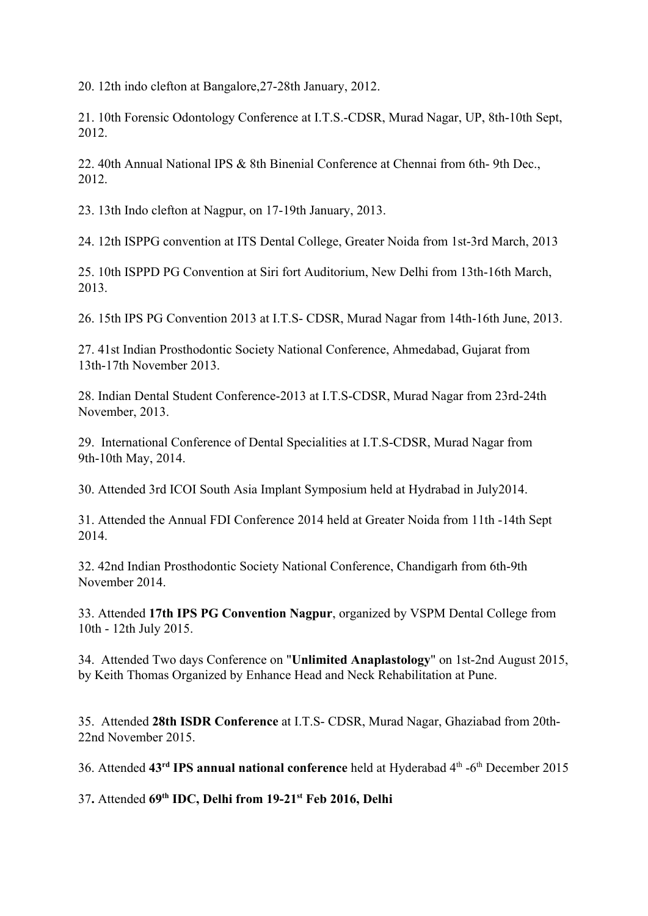20. 12th indo clefton at Bangalore,27-28th January, 2012.

21. 10th Forensic Odontology Conference at I.T.S.-CDSR, Murad Nagar, UP, 8th-10th Sept, 2012.

22. 40th Annual National IPS & 8th Binenial Conference at Chennai from 6th- 9th Dec., 2012.

23. 13th Indo clefton at Nagpur, on 17-19th January, 2013.

24. 12th ISPPG convention at ITS Dental College, Greater Noida from 1st-3rd March, 2013

25. 10th ISPPD PG Convention at Siri fort Auditorium, New Delhi from 13th-16th March, 2013.

26. 15th IPS PG Convention 2013 at I.T.S- CDSR, Murad Nagar from 14th-16th June, 2013.

27. 41st Indian Prosthodontic Society National Conference, Ahmedabad, Gujarat from 13th-17th November 2013.

28. Indian Dental Student Conference-2013 at I.T.S-CDSR, Murad Nagar from 23rd-24th November, 2013.

29. International Conference of Dental Specialities at I.T.S-CDSR, Murad Nagar from 9th-10th May, 2014.

30. Attended 3rd ICOI South Asia Implant Symposium held at Hydrabad in July2014.

31. Attended the Annual FDI Conference 2014 held at Greater Noida from 11th -14th Sept 2014.

32. 42nd Indian Prosthodontic Society National Conference, Chandigarh from 6th-9th November 2014.

33. Attended **17th IPS PG Convention Nagpur**, organized by VSPM Dental College from 10th - 12th July 2015.

34. Attended Two days Conference on "**Unlimited Anaplastology**" on 1st-2nd August 2015, by Keith Thomas Organized by Enhance Head and Neck Rehabilitation at Pune.

35. Attended **28th ISDR Conference** at I.T.S- CDSR, Murad Nagar, Ghaziabad from 20th-22nd November 2015.

36. Attended 43<sup>rd</sup> IPS annual national conference held at Hyderabad 4<sup>th</sup> -6<sup>th</sup> December 2015

37**.** Attended **69th IDC, Delhi from 19-21st Feb 2016, Delhi**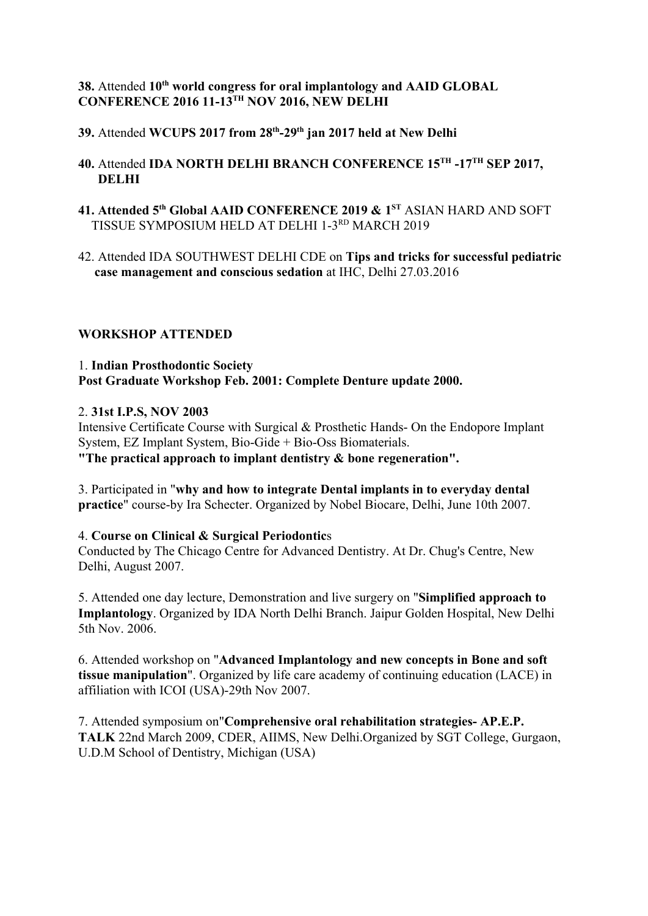## **38.** Attended **10th world congress for oral implantology and AAID GLOBAL CONFERENCE 2016 11-13TH NOV 2016, NEW DELHI**

- **39.** Attended **WCUPS 2017 from 28th -29th jan 2017 held at New Delhi**
- **40.** Attended **IDA NORTH DELHI BRANCH CONFERENCE 15TH -17TH SEP 2017, DELHI**
- **41. Attended 5th Global AAID CONFERENCE 2019 & 1ST** ASIAN HARD AND SOFT TISSUE SYMPOSIUM HELD AT DELHI 1-3RD MARCH 2019
- 42. Attended IDA SOUTHWEST DELHI CDE on **Tips and tricks for successful pediatric case management and conscious sedation** at IHC, Delhi 27.03.2016

## **WORKSHOP ATTENDED**

## 1. **Indian Prosthodontic Society Post Graduate Workshop Feb. 2001: Complete Denture update 2000.**

## 2. **31st I.P.S, NOV 2003**

Intensive Certificate Course with Surgical & Prosthetic Hands- On the Endopore Implant System, EZ Implant System, Bio-Gide + Bio-Oss Biomaterials. **"The practical approach to implant dentistry & bone regeneration".**

3. Participated in "**why and how to integrate Dental implants in to everyday dental practice**" course-by Ira Schecter. Organized by Nobel Biocare, Delhi, June 10th 2007.

## 4. **Course on Clinical & Surgical Periodontic**s

Conducted by The Chicago Centre for Advanced Dentistry. At Dr. Chug's Centre, New Delhi, August 2007.

5. Attended one day lecture, Demonstration and live surgery on "**Simplified approach to Implantology**. Organized by IDA North Delhi Branch. Jaipur Golden Hospital, New Delhi 5th Nov. 2006.

6. Attended workshop on "**Advanced Implantology and new concepts in Bone and soft tissue manipulation**". Organized by life care academy of continuing education (LACE) in affiliation with ICOI (USA)-29th Nov 2007.

7. Attended symposium on"**Comprehensive oral rehabilitation strategies- AP.E.P. TALK** 22nd March 2009, CDER, AIIMS, New Delhi.Organized by SGT College, Gurgaon, U.D.M School of Dentistry, Michigan (USA)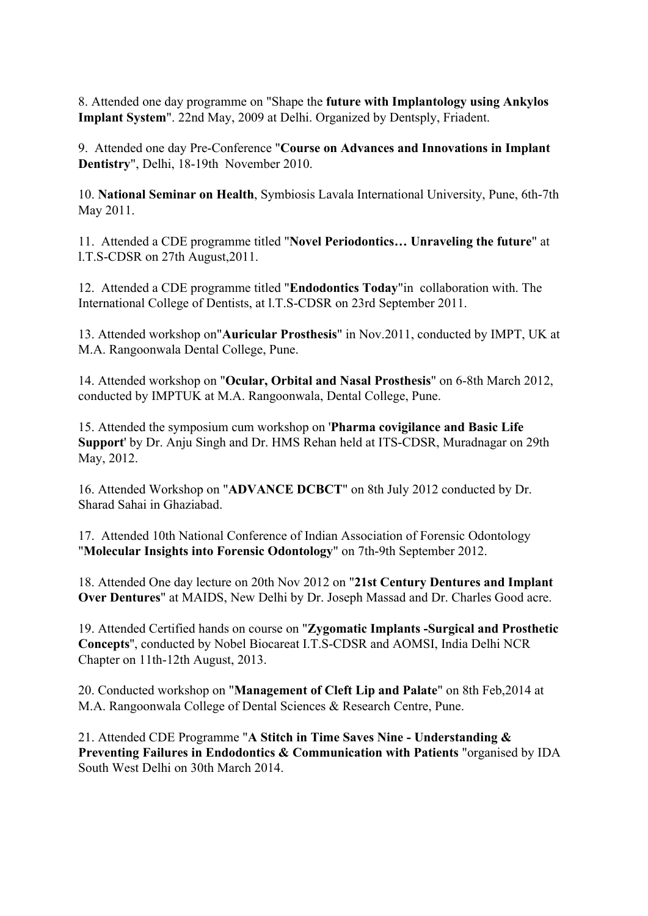8. Attended one day programme on "Shape the **future with Implantology using Ankylos Implant System**". 22nd May, 2009 at Delhi. Organized by Dentsply, Friadent.

9. Attended one day Pre-Conference "**Course on Advances and Innovations in Implant Dentistry**", Delhi, 18-19th November 2010.

10. **National Seminar on Health**, Symbiosis Lavala International University, Pune, 6th-7th May 2011.

11. Attended a CDE programme titled "**Novel Periodontics… Unraveling the future**" at l.T.S-CDSR on 27th August,2011.

12. Attended a CDE programme titled "**Endodontics Today**"in collaboration with. The International College of Dentists, at l.T.S-CDSR on 23rd September 2011.

13. Attended workshop on"**Auricular Prosthesis**" in Nov.2011, conducted by IMPT, UK at M.A. Rangoonwala Dental College, Pune.

14. Attended workshop on "**Ocular, Orbital and Nasal Prosthesis**" on 6-8th March 2012, conducted by IMPTUK at M.A. Rangoonwala, Dental College, Pune.

15. Attended the symposium cum workshop on '**Pharma covigilance and Basic Life Support**' by Dr. Anju Singh and Dr. HMS Rehan held at ITS-CDSR, Muradnagar on 29th May, 2012.

16. Attended Workshop on "**ADVANCE DCBCT**" on 8th July 2012 conducted by Dr. Sharad Sahai in Ghaziabad.

17. Attended 10th National Conference of Indian Association of Forensic Odontology "**Molecular Insights into Forensic Odontology**" on 7th-9th September 2012.

18. Attended One day lecture on 20th Nov 2012 on "**21st Century Dentures and Implant Over Dentures**" at MAIDS, New Delhi by Dr. Joseph Massad and Dr. Charles Good acre.

19. Attended Certified hands on course on "**Zygomatic Implants -Surgical and Prosthetic Concepts**'', conducted by Nobel Biocareat I.T.S-CDSR and AOMSI, India Delhi NCR Chapter on 11th-12th August, 2013.

20. Conducted workshop on "**Management of Cleft Lip and Palate**" on 8th Feb,2014 at M.A. Rangoonwala College of Dental Sciences & Research Centre, Pune.

21. Attended CDE Programme "**A Stitch in Time Saves Nine - Understanding & Preventing Failures in Endodontics & Communication with Patients** "organised by IDA South West Delhi on 30th March 2014.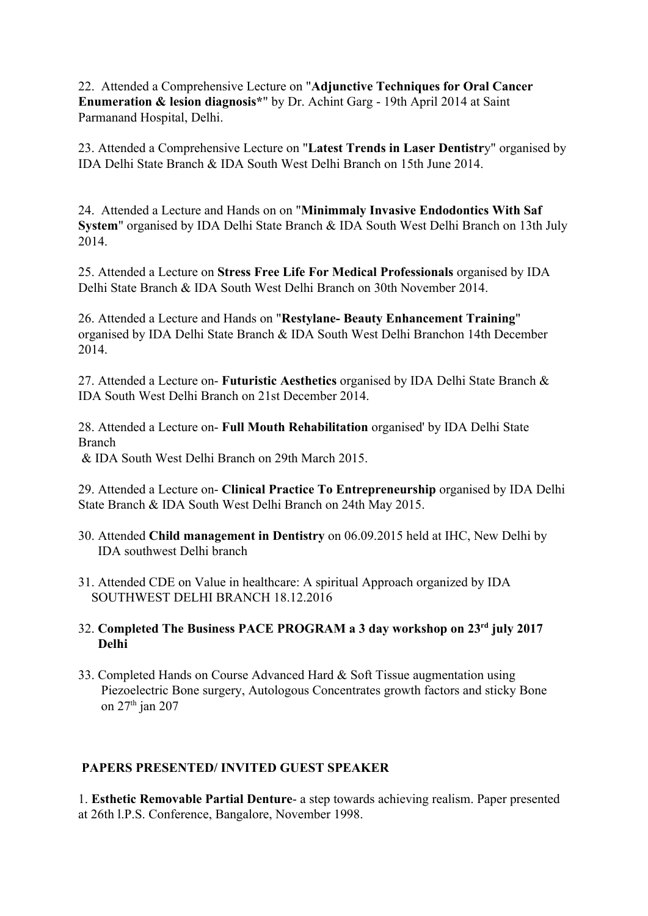22. Attended a Comprehensive Lecture on "**Adjunctive Techniques for Oral Cancer Enumeration & lesion diagnosis\***" by Dr. Achint Garg - 19th April 2014 at Saint Parmanand Hospital, Delhi.

23. Attended a Comprehensive Lecture on "**Latest Trends in Laser Dentistr**y" organised by IDA Delhi State Branch & IDA South West Delhi Branch on 15th June 2014.

24. Attended a Lecture and Hands on on "**Minimmaly Invasive Endodontics With Saf System**" organised by IDA Delhi State Branch & IDA South West Delhi Branch on 13th July 2014.

25. Attended a Lecture on **Stress Free Life For Medical Professionals** organised by IDA Delhi State Branch & IDA South West Delhi Branch on 30th November 2014.

26. Attended a Lecture and Hands on "**Restylane- Beauty Enhancement Training**" organised by IDA Delhi State Branch & IDA South West Delhi Branchon 14th December 2014.

27. Attended a Lecture on- **Futuristic Aesthetics** organised by IDA Delhi State Branch & IDA South West Delhi Branch on 21st December 2014.

28. Attended a Lecture on- **Full Mouth Rehabilitation** organised' by IDA Delhi State Branch

& IDA South West Delhi Branch on 29th March 2015.

29. Attended a Lecture on- **Clinical Practice To Entrepreneurship** organised by IDA Delhi State Branch & IDA South West Delhi Branch on 24th May 2015.

- 30. Attended **Child management in Dentistry** on 06.09.2015 held at IHC, New Delhi by IDA southwest Delhi branch
- 31. Attended CDE on Value in healthcare: A spiritual Approach organized by IDA SOUTHWEST DELHI BRANCH 18.12.2016

## 32. **Completed The Business PACE PROGRAM a 3 day workshop on 23rd july 2017 Delhi**

33. Completed Hands on Course Advanced Hard & Soft Tissue augmentation using Piezoelectric Bone surgery, Autologous Concentrates growth factors and sticky Bone on 27th jan 207

## **PAPERS PRESENTED/ INVITED GUEST SPEAKER**

1. **Esthetic Removable Partial Denture**- a step towards achieving realism. Paper presented at 26th l.P.S. Conference, Bangalore, November 1998.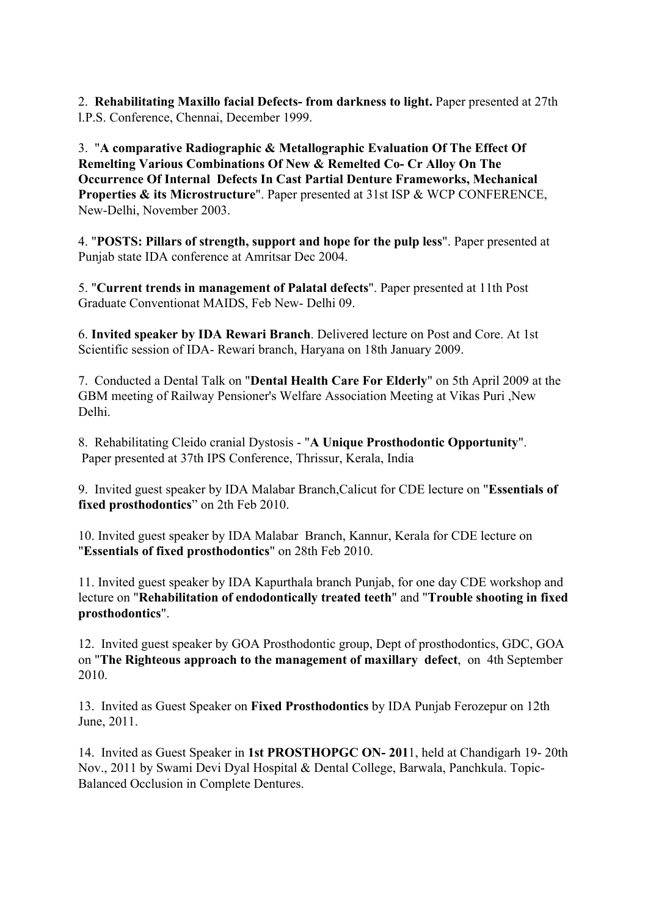2. **Rehabilitating Maxillo facial Defects- from darkness to light.** Paper presented at 27th l.P.S. Conference, Chennai, December 1999.

3. "**A comparative Radiographic & Metallographic Evaluation Of The Effect Of Remelting Various Combinations Of New & Remelted Co- Cr Alloy On The Occurrence Of Internal Defects In Cast Partial Denture Frameworks, Mechanical Properties & its Microstructure**". Paper presented at 31st ISP & WCP CONFERENCE, New-Delhi, November 2003.

4. "**POSTS: Pillars of strength, support and hope for the pulp less**". Paper presented at Punjab state IDA conference at Amritsar Dec 2004.

5. "**Current trends in management of Palatal defects**". Paper presented at 11th Post Graduate Conventionat MAIDS, Feb New- Delhi 09.

6. **Invited speaker by IDA Rewari Branch**. Delivered lecture on Post and Core. At 1st Scientific session of IDA- Rewari branch, Haryana on 18th January 2009.

7. Conducted a Dental Talk on "**Dental Health Care For Elderly**" on 5th April 2009 at the GBM meeting of Railway Pensioner's Welfare Association Meeting at Vikas Puri ,New Delhi.

8. Rehabilitating Cleido cranial Dystosis - "**A Unique Prosthodontic Opportunity**". Paper presented at 37th IPS Conference, Thrissur, Kerala, India

9. Invited guest speaker by IDA Malabar Branch,Calicut for CDE lecture on "**Essentials of fixed prosthodontics**" on 2th Feb 2010.

10. Invited guest speaker by IDA Malabar Branch, Kannur, Kerala for CDE lecture on "**Essentials of fixed prosthodontics**" on 28th Feb 2010.

11. Invited guest speaker by IDA Kapurthala branch Punjab, for one day CDE workshop and lecture on "**Rehabilitation of endodontically treated teeth**" and "**Trouble shooting in fixed prosthodontics**".

12. Invited guest speaker by GOA Prosthodontic group, Dept of prosthodontics, GDC, GOA on "**The Righteous approach to the management of maxillary defect**, on 4th September 2010.

13. Invited as Guest Speaker on **Fixed Prosthodontics** by IDA Punjab Ferozepur on 12th June, 2011.

14. Invited as Guest Speaker in **1st PROSTHOPGC ON- 201**1, held at Chandigarh 19- 20th Nov., 2011 by Swami Devi Dyal Hospital & Dental College, Barwala, Panchkula. Topic-Balanced Occlusion in Complete Dentures.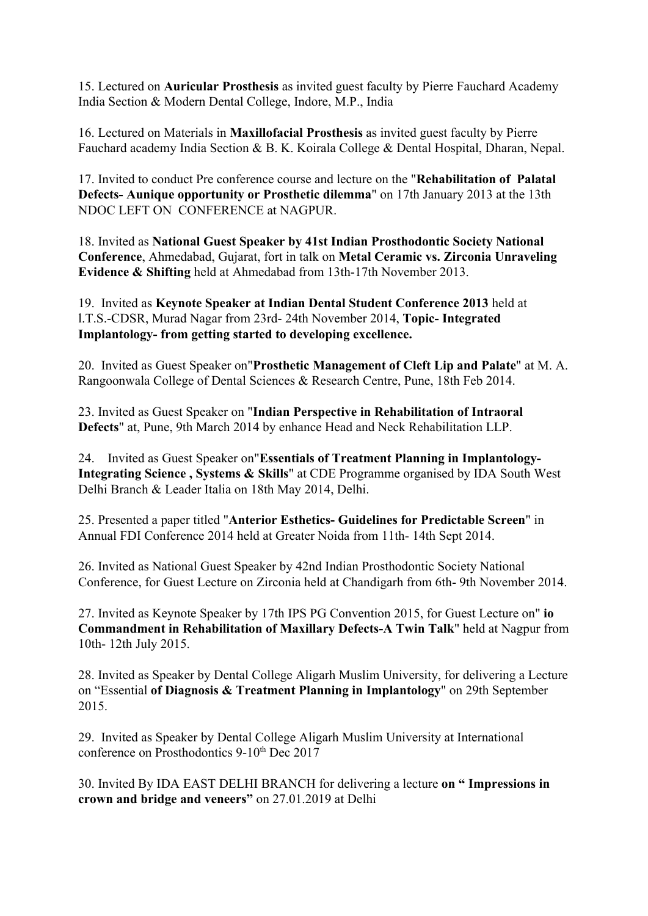15. Lectured on **Auricular Prosthesis** as invited guest faculty by Pierre Fauchard Academy India Section & Modern Dental College, Indore, M.P., India

16. Lectured on Materials in **Maxillofacial Prosthesis** as invited guest faculty by Pierre Fauchard academy India Section & B. K. Koirala College & Dental Hospital, Dharan, Nepal.

17. Invited to conduct Pre conference course and lecture on the "**Rehabilitation of Palatal Defects- Aunique opportunity or Prosthetic dilemma**" on 17th January 2013 at the 13th NDOC LEFT ON CONFERENCE at NAGPUR.

18. Invited as **National Guest Speaker by 41st Indian Prosthodontic Society National Conference**, Ahmedabad, Gujarat, fort in talk on **Metal Ceramic vs. Zirconia Unraveling Evidence & Shifting** held at Ahmedabad from 13th-17th November 2013.

19. Invited as **Keynote Speaker at Indian Dental Student Conference 2013** held at l.T.S.-CDSR, Murad Nagar from 23rd- 24th November 2014, **Topic- Integrated Implantology- from getting started to developing excellence.**

20. Invited as Guest Speaker on"**Prosthetic Management of Cleft Lip and Palate**" at M. A. Rangoonwala College of Dental Sciences & Research Centre, Pune, 18th Feb 2014.

23. Invited as Guest Speaker on "**Indian Perspective in Rehabilitation of Intraoral Defects**" at, Pune, 9th March 2014 by enhance Head and Neck Rehabilitation LLP.

24. Invited as Guest Speaker on"**Essentials of Treatment Planning in Implantology-Integrating Science , Systems & Skills**" at CDE Programme organised by IDA South West Delhi Branch & Leader Italia on 18th May 2014, Delhi.

25. Presented a paper titled "**Anterior Esthetics- Guidelines for Predictable Screen**" in Annual FDI Conference 2014 held at Greater Noida from 11th- 14th Sept 2014.

26. Invited as National Guest Speaker by 42nd Indian Prosthodontic Society National Conference, for Guest Lecture on Zirconia held at Chandigarh from 6th- 9th November 2014.

27. Invited as Keynote Speaker by 17th IPS PG Convention 2015, for Guest Lecture on" **io Commandment in Rehabilitation of Maxillary Defects-A Twin Talk**" held at Nagpur from 10th- 12th July 2015.

28. Invited as Speaker by Dental College Aligarh Muslim University, for delivering a Lecture on "Essential **of Diagnosis & Treatment Planning in Implantology**" on 29th September 2015.

29. Invited as Speaker by Dental College Aligarh Muslim University at International conference on Prosthodontics 9-10<sup>th</sup> Dec 2017

30. Invited By IDA EAST DELHI BRANCH for delivering a lecture **on " Impressions in crown and bridge and veneers"** on 27.01.2019 at Delhi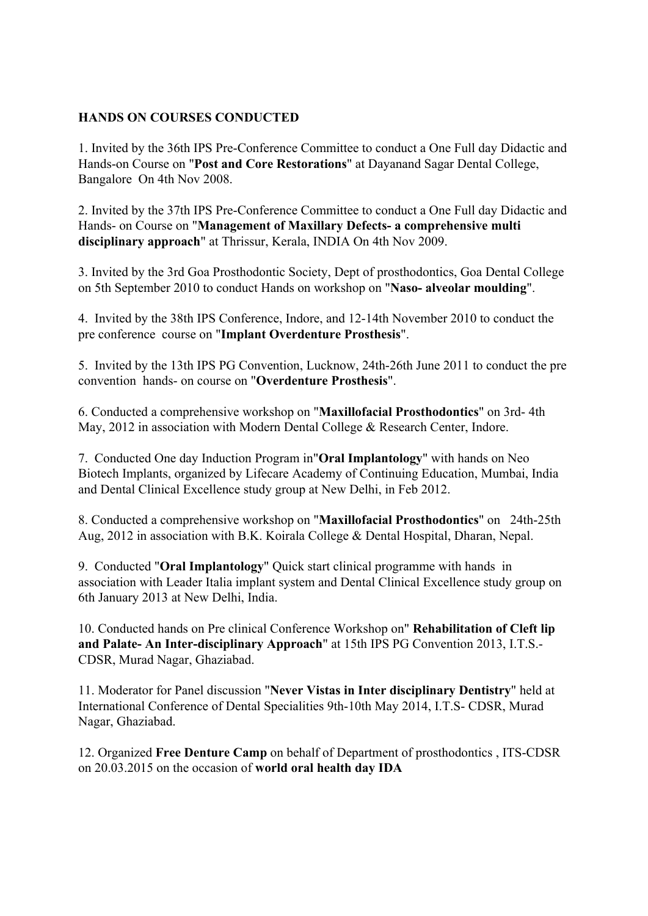## **HANDS ON COURSES CONDUCTED**

1. Invited by the 36th IPS Pre-Conference Committee to conduct a One Full day Didactic and Hands-on Course on "**Post and Core Restorations**" at Dayanand Sagar Dental College, Bangalore On 4th Nov 2008.

2. Invited by the 37th IPS Pre-Conference Committee to conduct a One Full day Didactic and Hands- on Course on "**Management of Maxillary Defects- a comprehensive multi disciplinary approach**" at Thrissur, Kerala, INDIA On 4th Nov 2009.

3. Invited by the 3rd Goa Prosthodontic Society, Dept of prosthodontics, Goa Dental College on 5th September 2010 to conduct Hands on workshop on "**Naso- alveolar moulding**".

4. Invited by the 38th IPS Conference, Indore, and 12-14th November 2010 to conduct the pre conference course on "**Implant Overdenture Prosthesis**".

5. Invited by the 13th IPS PG Convention, Lucknow, 24th-26th June 2011 to conduct the pre convention hands- on course on "**Overdenture Prosthesis**".

6. Conducted a comprehensive workshop on "**Maxillofacial Prosthodontics**" on 3rd- 4th May, 2012 in association with Modern Dental College & Research Center, Indore.

7. Conducted One day Induction Program in"**Oral Implantology**" with hands on Neo Biotech Implants, organized by Lifecare Academy of Continuing Education, Mumbai, India and Dental Clinical Excellence study group at New Delhi, in Feb 2012.

8. Conducted a comprehensive workshop on "**Maxillofacial Prosthodontics**" on 24th-25th Aug, 2012 in association with B.K. Koirala College & Dental Hospital, Dharan, Nepal.

9. Conducted "**Oral Implantology**" Quick start clinical programme with hands in association with Leader Italia implant system and Dental Clinical Excellence study group on 6th January 2013 at New Delhi, India.

10. Conducted hands on Pre clinical Conference Workshop on" **Rehabilitation of Cleft lip and Palate- An Inter-disciplinary Approach**" at 15th IPS PG Convention 2013, I.T.S.- CDSR, Murad Nagar, Ghaziabad.

11. Moderator for Panel discussion "**Never Vistas in Inter disciplinary Dentistry**" held at International Conference of Dental Specialities 9th-10th May 2014, I.T.S- CDSR, Murad Nagar, Ghaziabad.

12. Organized **Free Denture Camp** on behalf of Department of prosthodontics , ITS-CDSR on 20.03.2015 on the occasion of **world oral health day IDA**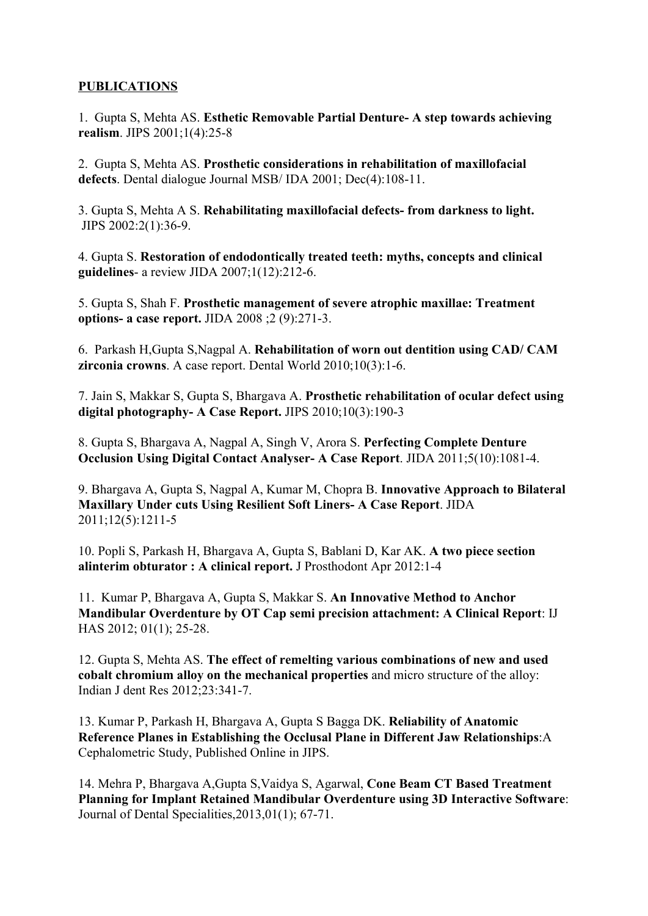## **PUBLICATIONS**

1. Gupta S, Mehta AS. **Esthetic Removable Partial Denture- A step towards achieving realism**. JIPS 2001;1(4):25-8

2. Gupta S, Mehta AS. **Prosthetic considerations in rehabilitation of maxillofacial defects**. Dental dialogue Journal MSB/ IDA 2001; Dec(4):108-11.

3. Gupta S, Mehta A S. **Rehabilitating maxillofacial defects- from darkness to light.** JIPS 2002:2(1):36-9.

4. Gupta S. **Restoration of endodontically treated teeth: myths, concepts and clinical guidelines**- a review JIDA 2007;1(12):212-6.

5. Gupta S, Shah F. **Prosthetic management of severe atrophic maxillae: Treatment options- a case report.** JIDA 2008 ;2 (9):271-3.

6. Parkash H,Gupta S,Nagpal A. **Rehabilitation of worn out dentition using CAD/ CAM zirconia crowns**. A case report. Dental World 2010;10(3):1-6.

7. Jain S, Makkar S, Gupta S, Bhargava A. **Prosthetic rehabilitation of ocular defect using digital photography- A Case Report.** JIPS 2010;10(3):190-3

8. Gupta S, Bhargava A, Nagpal A, Singh V, Arora S. **Perfecting Complete Denture Occlusion Using Digital Contact Analyser- A Case Report**. JIDA 2011;5(10):1081-4.

9. Bhargava A, Gupta S, Nagpal A, Kumar M, Chopra B. **Innovative Approach to Bilateral Maxillary Under cuts Using Resilient Soft Liners- A Case Report**. JIDA 2011;12(5):1211-5

10. Popli S, Parkash H, Bhargava A, Gupta S, Bablani D, Kar AK. **A two piece section alinterim obturator : A clinical report.** J Prosthodont Apr 2012:1-4

11. Kumar P, Bhargava A, Gupta S, Makkar S. **An Innovative Method to Anchor Mandibular Overdenture by OT Cap semi precision attachment: A Clinical Report**: IJ HAS 2012; 01(1); 25-28.

12. Gupta S, Mehta AS. **The effect of remelting various combinations of new and used cobalt chromium alloy on the mechanical properties** and micro structure of the alloy: Indian J dent Res 2012;23:341-7.

13. Kumar P, Parkash H, Bhargava A, Gupta S Bagga DK. **Reliability of Anatomic Reference Planes in Establishing the Occlusal Plane in Different Jaw Relationships**:A Cephalometric Study, Published Online in JIPS.

14. Mehra P, Bhargava A,Gupta S,Vaidya S, Agarwal, **Cone Beam CT Based Treatment Planning for Implant Retained Mandibular Overdenture using 3D Interactive Software**: Journal of Dental Specialities,2013,01(1); 67-71.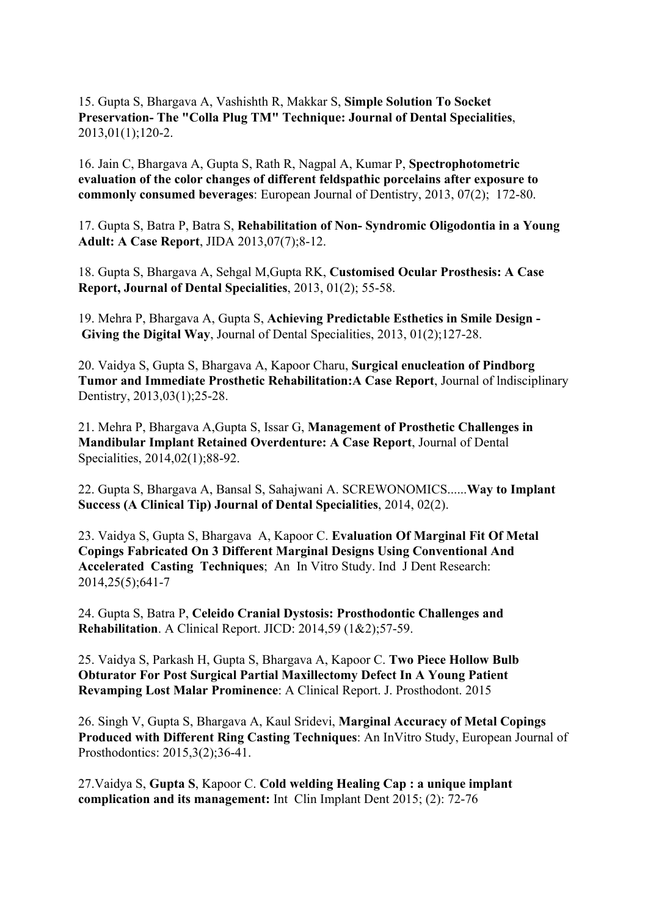15. Gupta S, Bhargava A, Vashishth R, Makkar S, **Simple Solution To Socket Preservation- The "Colla Plug TM" Technique: Journal of Dental Specialities**, 2013,01(1);120-2.

16. Jain C, Bhargava A, Gupta S, Rath R, Nagpal A, Kumar P, **Spectrophotometric evaluation of the color changes of different feldspathic porcelains after exposure to commonly consumed beverages**: European Journal of Dentistry, 2013, 07(2); 172-80.

17. Gupta S, Batra P, Batra S, **Rehabilitation of Non- Syndromic Oligodontia in a Young Adult: A Case Report**, JIDA 2013,07(7);8-12.

18. Gupta S, Bhargava A, Sehgal M,Gupta RK, **Customised Ocular Prosthesis: A Case Report, Journal of Dental Specialities**, 2013, 01(2); 55-58.

19. Mehra P, Bhargava A, Gupta S, **Achieving Predictable Esthetics in Smile Design - Giving the Digital Way**, Journal of Dental Specialities, 2013, 01(2);127-28.

20. Vaidya S, Gupta S, Bhargava A, Kapoor Charu, **Surgical enucleation of Pindborg Tumor and Immediate Prosthetic Rehabilitation:A Case Report**, Journal of lndisciplinary Dentistry, 2013,03(1);25-28.

21. Mehra P, Bhargava A,Gupta S, Issar G, **Management of Prosthetic Challenges in Mandibular Implant Retained Overdenture: A Case Report**, Journal of Dental Specialities, 2014,02(1);88-92.

22. Gupta S, Bhargava A, Bansal S, Sahajwani A. SCREWONOMICS......**Way to Implant Success (A Clinical Tip) Journal of Dental Specialities**, 2014, 02(2).

23. Vaidya S, Gupta S, Bhargava A, Kapoor C. **Evaluation Of Marginal Fit Of Metal Copings Fabricated On 3 Different Marginal Designs Using Conventional And Accelerated Casting Techniques**; An In Vitro Study. Ind J Dent Research: 2014,25(5);641-7

24. Gupta S, Batra P, **Celeido Cranial Dystosis: Prosthodontic Challenges and Rehabilitation**. A Clinical Report. JICD: 2014,59 (1&2);57-59.

25. Vaidya S, Parkash H, Gupta S, Bhargava A, Kapoor C. **Two Piece Hollow Bulb Obturator For Post Surgical Partial Maxillectomy Defect In A Young Patient Revamping Lost Malar Prominence**: A Clinical Report. J. Prosthodont. 2015

26. Singh V, Gupta S, Bhargava A, Kaul Sridevi, **Marginal Accuracy of Metal Copings Produced with Different Ring Casting Techniques**: An InVitro Study, European Journal of Prosthodontics: 2015,3(2);36-41.

27.Vaidya S, **Gupta S**, Kapoor C. **Cold welding Healing Cap : a unique implant complication and its management:** Int Clin Implant Dent 2015; (2): 72-76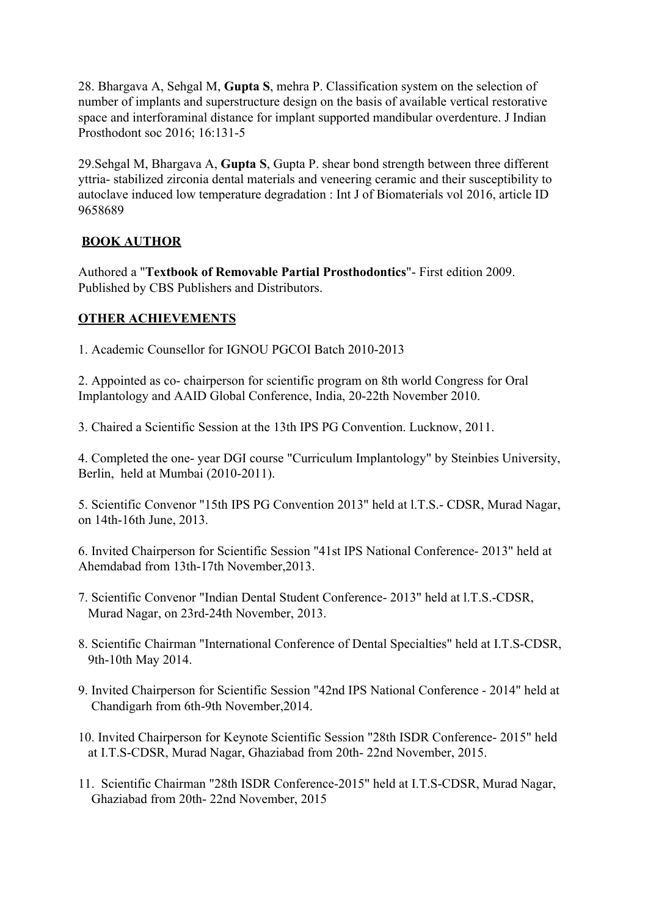28. Bhargava A, Sehgal M, **Gupta S**, mehra P. Classification system on the selection of number of implants and superstructure design on the basis of available vertical restorative space and interforaminal distance for implant supported mandibular overdenture. J Indian Prosthodont soc 2016; 16:131-5

29.Sehgal M, Bhargava A, **Gupta S**, Gupta P. shear bond strength between three different yttria- stabilized zirconia dental materials and veneering ceramic and their susceptibility to autoclave induced low temperature degradation : Int J of Biomaterials vol 2016, article ID 9658689

## **BOOK AUTHOR**

Authored a "**Textbook of Removable Partial Prosthodontics**"- First edition 2009. Published by CBS Publishers and Distributors.

## **OTHER ACHIEVEMENTS**

1. Academic Counsellor for IGNOU PGCOI Batch 2010-2013

2. Appointed as co- chairperson for scientific program on 8th world Congress for Oral Implantology and AAID Global Conference, India, 20-22th November 2010.

3. Chaired a Scientific Session at the 13th IPS PG Convention. Lucknow, 2011.

4. Completed the one- year DGI course "Curriculum Implantology" by Steinbies University, Berlin, held at Mumbai (2010-2011).

5. Scientific Convenor "15th IPS PG Convention 2013" held at l.T.S.- CDSR, Murad Nagar, on 14th-16th June, 2013.

6. Invited Chairperson for Scientific Session "41st IPS National Conference- 2013" held at Ahemdabad from 13th-17th November,2013.

- 7. Scientific Convenor "Indian Dental Student Conference- 2013" held at l.T.S.-CDSR, Murad Nagar, on 23rd-24th November, 2013.
- 8. Scientific Chairman "International Conference of Dental Specialties" held at I.T.S-CDSR, 9th-10th May 2014.
- 9. Invited Chairperson for Scientific Session "42nd IPS National Conference 2014" held at Chandigarh from 6th-9th November,2014.
- 10. Invited Chairperson for Keynote Scientific Session "28th ISDR Conference- 2015" held at I.T.S-CDSR, Murad Nagar, Ghaziabad from 20th- 22nd November, 2015.
- 11. Scientific Chairman "28th ISDR Conference-2015" held at I.T.S-CDSR, Murad Nagar, Ghaziabad from 20th- 22nd November, 2015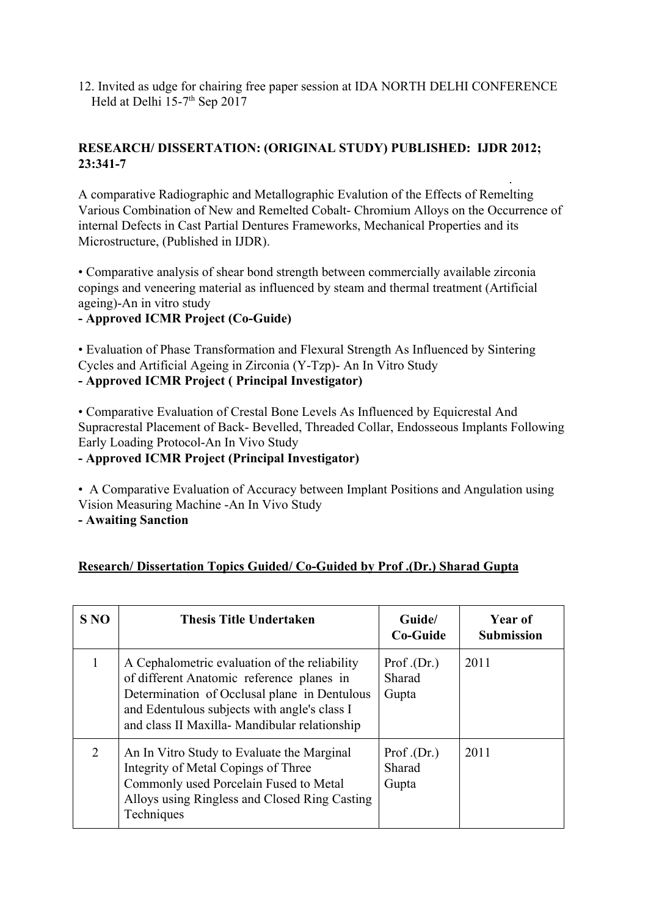12. Invited as udge for chairing free paper session at IDA NORTH DELHI CONFERENCE Held at Delhi  $15-7$ <sup>th</sup> Sep 2017

## **RESEARCH/ DISSERTATION: (ORIGINAL STUDY) PUBLISHED: IJDR 2012; 23:341-7**

A comparative Radiographic and Metallographic Evalution of the Effects of Remelting Various Combination of New and Remelted Cobalt- Chromium Alloys on the Occurrence of internal Defects in Cast Partial Dentures Frameworks, Mechanical Properties and its Microstructure, (Published in IJDR).

.

• Comparative analysis of shear bond strength between commercially available zirconia copings and veneering material as influenced by steam and thermal treatment (Artificial ageing)-An in vitro study

## **- Approved ICMR Project (Co-Guide)**

• Evaluation of Phase Transformation and Flexural Strength As Influenced by Sintering Cycles and Artificial Ageing in Zirconia (Y-Tzp)- An In Vitro Study **- Approved ICMR Project ( Principal Investigator)**

• Comparative Evaluation of Crestal Bone Levels As Influenced by Equicrestal And Supracrestal Placement of Back- Bevelled, Threaded Collar, Endosseous Implants Following Early Loading Protocol-An In Vivo Study

**- Approved ICMR Project (Principal Investigator)**

• A Comparative Evaluation of Accuracy between Implant Positions and Angulation using Vision Measuring Machine -An In Vivo Study

**- Awaiting Sanction**

## **Research/ Dissertation Topics Guided/ Co-Guided by Prof .(Dr.) Sharad Gupta**

| S <sub>NO</sub> | <b>Thesis Title Undertaken</b>                                                                                                                                                                                                              | Guide/<br>Co-Guide            | Year of<br><b>Submission</b> |
|-----------------|---------------------------------------------------------------------------------------------------------------------------------------------------------------------------------------------------------------------------------------------|-------------------------------|------------------------------|
|                 | A Cephalometric evaluation of the reliability<br>of different Anatomic reference planes in<br>Determination of Occlusal plane in Dentulous<br>and Edentulous subjects with angle's class I<br>and class II Maxilla- Mandibular relationship | Prof.(Dr.)<br>Sharad<br>Gupta | 2011                         |
| 2               | An In Vitro Study to Evaluate the Marginal<br>Integrity of Metal Copings of Three<br>Commonly used Porcelain Fused to Metal<br>Alloys using Ringless and Closed Ring Casting<br>Techniques                                                  | Prof.(Dr.)<br>Sharad<br>Gupta | 2011                         |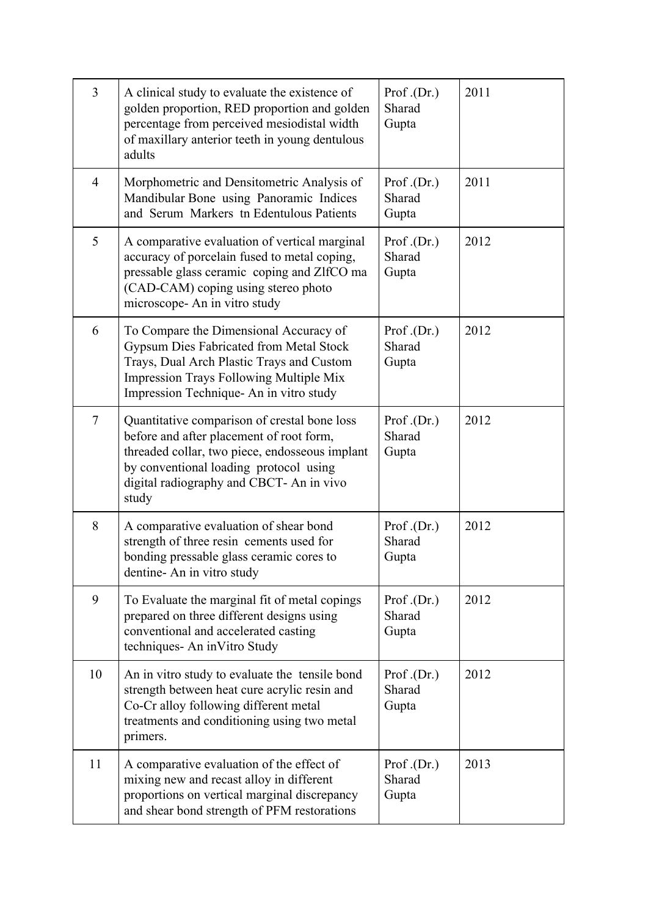| $\overline{3}$ | A clinical study to evaluate the existence of<br>golden proportion, RED proportion and golden<br>percentage from perceived mesiodistal width<br>of maxillary anterior teeth in young dentulous<br>adults                                  | Prof. $(Dr.)$<br>Sharad<br>Gupta | 2011 |
|----------------|-------------------------------------------------------------------------------------------------------------------------------------------------------------------------------------------------------------------------------------------|----------------------------------|------|
| $\overline{4}$ | Morphometric and Densitometric Analysis of<br>Mandibular Bone using Panoramic Indices<br>and Serum Markers tn Edentulous Patients                                                                                                         | Prof. $(Dr.)$<br>Sharad<br>Gupta | 2011 |
| 5              | A comparative evaluation of vertical marginal<br>accuracy of porcelain fused to metal coping,<br>pressable glass ceramic coping and ZlfCO ma<br>(CAD-CAM) coping using stereo photo<br>microscope- An in vitro study                      | Prof. $(Dr.)$<br>Sharad<br>Gupta | 2012 |
| 6              | To Compare the Dimensional Accuracy of<br>Gypsum Dies Fabricated from Metal Stock<br>Trays, Dual Arch Plastic Trays and Custom<br>Impression Trays Following Multiple Mix<br>Impression Technique- An in vitro study                      | Prof.(Dr.)<br>Sharad<br>Gupta    | 2012 |
| $\tau$         | Quantitative comparison of crestal bone loss<br>before and after placement of root form,<br>threaded collar, two piece, endosseous implant<br>by conventional loading protocol using<br>digital radiography and CBCT- An in vivo<br>study | Prof.(Dr.)<br>Sharad<br>Gupta    | 2012 |
| 8              | A comparative evaluation of shear bond<br>strength of three resin cements used for<br>bonding pressable glass ceramic cores to<br>dentine-An in vitro study                                                                               | Prof.(Dr.)<br>Sharad<br>Gupta    | 2012 |
| 9              | To Evaluate the marginal fit of metal copings<br>prepared on three different designs using<br>conventional and accelerated casting<br>techniques- An inVitro Study                                                                        | Prof.(Dr.)<br>Sharad<br>Gupta    | 2012 |
| 10             | An in vitro study to evaluate the tensile bond<br>strength between heat cure acrylic resin and<br>Co-Cr alloy following different metal<br>treatments and conditioning using two metal<br>primers.                                        | Prof.(Dr.)<br>Sharad<br>Gupta    | 2012 |
| 11             | A comparative evaluation of the effect of<br>mixing new and recast alloy in different<br>proportions on vertical marginal discrepancy<br>and shear bond strength of PFM restorations                                                      | Prof.(Dr.)<br>Sharad<br>Gupta    | 2013 |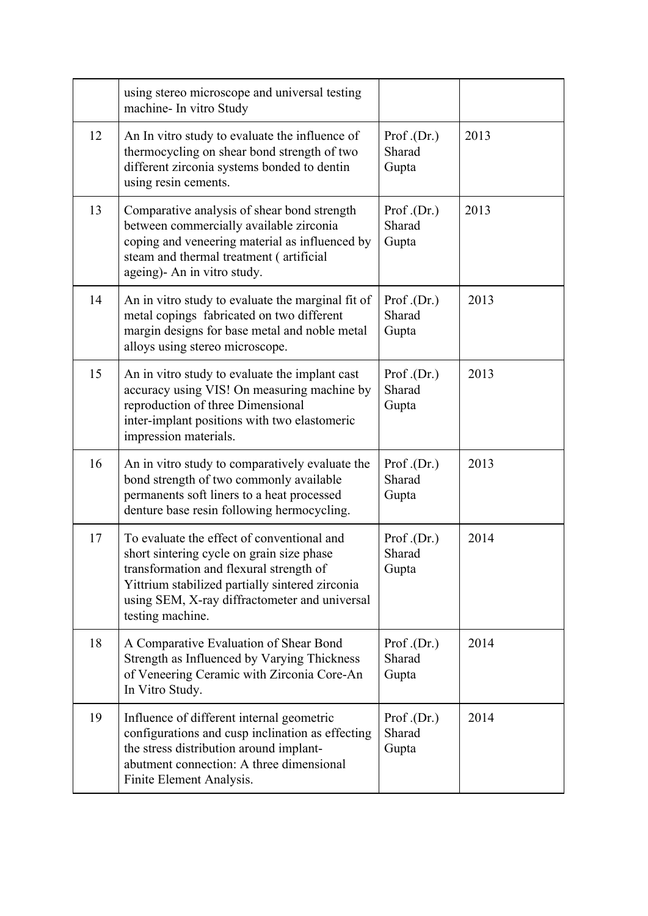|    | using stereo microscope and universal testing<br>machine- In vitro Study                                                                                                                                                                                   |                                  |      |
|----|------------------------------------------------------------------------------------------------------------------------------------------------------------------------------------------------------------------------------------------------------------|----------------------------------|------|
| 12 | An In vitro study to evaluate the influence of<br>thermocycling on shear bond strength of two<br>different zirconia systems bonded to dentin<br>using resin cements.                                                                                       | Prof.(Dr.)<br>Sharad<br>Gupta    | 2013 |
| 13 | Comparative analysis of shear bond strength<br>between commercially available zirconia<br>coping and veneering material as influenced by<br>steam and thermal treatment (artificial<br>ageing)- An in vitro study.                                         | Prof.(Dr.)<br>Sharad<br>Gupta    | 2013 |
| 14 | An in vitro study to evaluate the marginal fit of<br>metal copings fabricated on two different<br>margin designs for base metal and noble metal<br>alloys using stereo microscope.                                                                         | Prof. $(Dr.)$<br>Sharad<br>Gupta | 2013 |
| 15 | An in vitro study to evaluate the implant cast<br>accuracy using VIS! On measuring machine by<br>reproduction of three Dimensional<br>inter-implant positions with two elastomeric<br>impression materials.                                                | Prof.(Dr.)<br>Sharad<br>Gupta    | 2013 |
| 16 | An in vitro study to comparatively evaluate the<br>bond strength of two commonly available<br>permanents soft liners to a heat processed<br>denture base resin following hermocycling.                                                                     | Prof.(Dr.)<br>Sharad<br>Gupta    | 2013 |
| 17 | To evaluate the effect of conventional and<br>short sintering cycle on grain size phase<br>transformation and flexural strength of<br>Yittrium stabilized partially sintered zirconia<br>using SEM, X-ray diffractometer and universal<br>testing machine. | Prof.(Dr.)<br>Sharad<br>Gupta    | 2014 |
| 18 | A Comparative Evaluation of Shear Bond<br>Strength as Influenced by Varying Thickness<br>of Veneering Ceramic with Zirconia Core-An<br>In Vitro Study.                                                                                                     | Prof.(Dr.)<br>Sharad<br>Gupta    | 2014 |
| 19 | Influence of different internal geometric<br>configurations and cusp inclination as effecting<br>the stress distribution around implant-<br>abutment connection: A three dimensional<br>Finite Element Analysis.                                           | Prof.(Dr.)<br>Sharad<br>Gupta    | 2014 |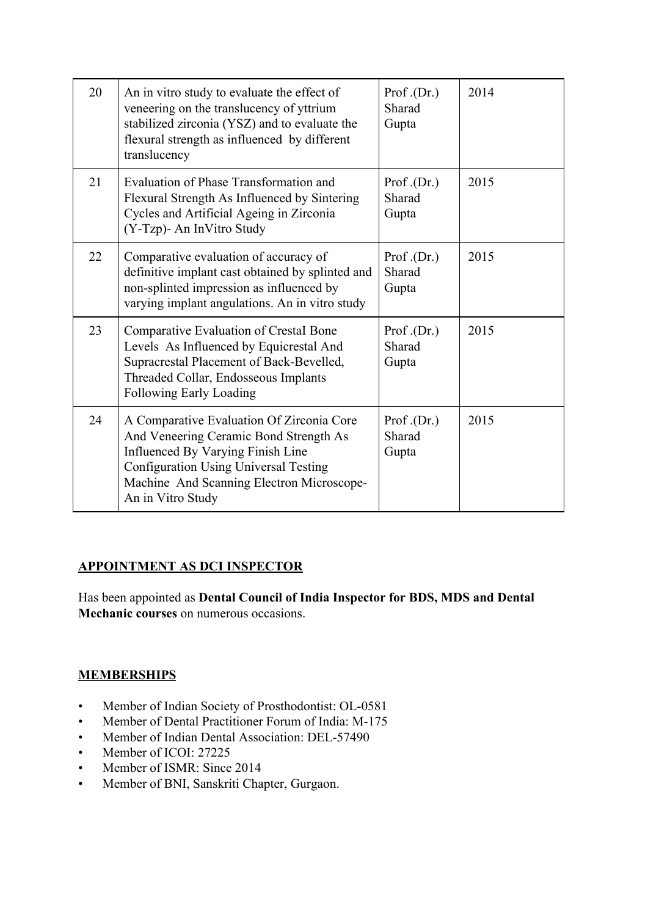| 20 | An in vitro study to evaluate the effect of<br>veneering on the translucency of yttrium<br>stabilized zirconia (YSZ) and to evaluate the<br>flexural strength as influenced by different<br>translucency                                   | Prof. $(Dr.)$<br>Sharad<br>Gupta | 2014 |
|----|--------------------------------------------------------------------------------------------------------------------------------------------------------------------------------------------------------------------------------------------|----------------------------------|------|
| 21 | Evaluation of Phase Transformation and<br>Flexural Strength As Influenced by Sintering<br>Cycles and Artificial Ageing in Zirconia<br>(Y-Tzp)- An InVitro Study                                                                            | Prof. $(Dr.)$<br>Sharad<br>Gupta | 2015 |
| 22 | Comparative evaluation of accuracy of<br>definitive implant cast obtained by splinted and<br>non-splinted impression as influenced by<br>varying implant angulations. An in vitro study                                                    | Prof. $(Dr.)$<br>Sharad<br>Gupta | 2015 |
| 23 | Comparative Evaluation of Crestal Bone<br>Levels As Influenced by Equicrestal And<br>Supracrestal Placement of Back-Bevelled,<br>Threaded Collar, Endosseous Implants<br>Following Early Loading                                           | Prof. $(Dr.)$<br>Sharad<br>Gupta | 2015 |
| 24 | A Comparative Evaluation Of Zirconia Core<br>And Veneering Ceramic Bond Strength As<br>Influenced By Varying Finish Line<br><b>Configuration Using Universal Testing</b><br>Machine And Scanning Electron Microscope-<br>An in Vitro Study | Prof. $(Dr.)$<br>Sharad<br>Gupta | 2015 |

## **APPOINTMENT AS DCI INSPECTOR**

Has been appointed as **Dental Council of India Inspector for BDS, MDS and Dental Mechanic courses** on numerous occasions.

## **MEMBERSHIPS**

- Member of Indian Society of Prosthodontist: OL-0581
- Member of Dental Practitioner Forum of India: M-175
- Member of Indian Dental Association: DEL-57490
- Member of ICOI: 27225
- Member of ISMR: Since 2014
- Member of BNI, Sanskriti Chapter, Gurgaon.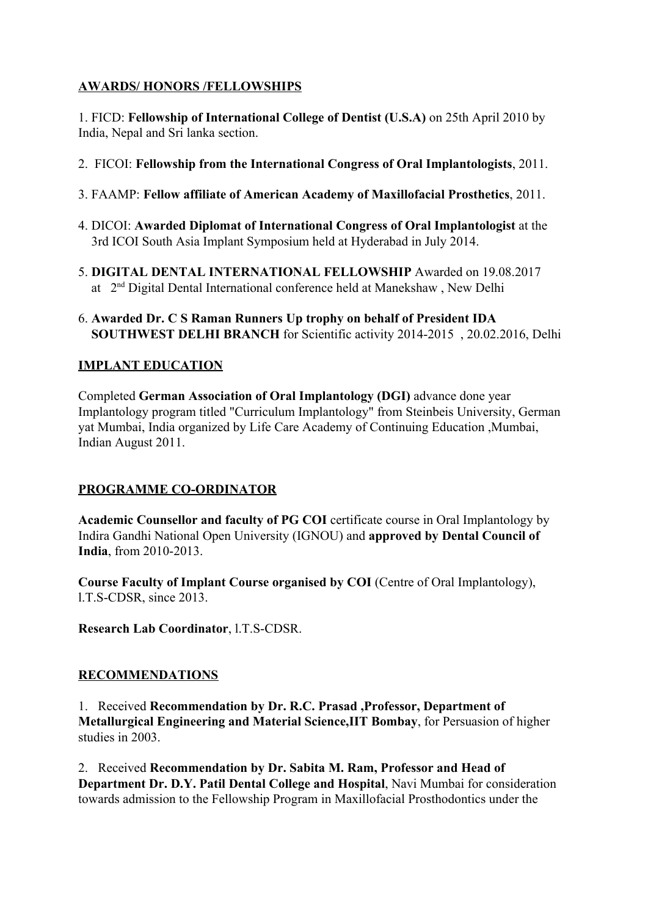## **AWARDS/ HONORS /FELLOWSHIPS**

1. FICD: **Fellowship of International College of Dentist (U.S.A)** on 25th April 2010 by India, Nepal and Sri lanka section.

- 2. FICOI: **Fellowship from the International Congress of Oral Implantologists**, 2011.
- 3. FAAMP: **Fellow affiliate of American Academy of Maxillofacial Prosthetics**, 2011.
- 4. DICOI: **Awarded Diplomat of International Congress of Oral Implantologist** at the 3rd ICOI South Asia Implant Symposium held at Hyderabad in July 2014.
- 5. **DIGITAL DENTAL INTERNATIONAL FELLOWSHIP** Awarded on 19.08.2017 at 2nd Digital Dental International conference held at Manekshaw , New Delhi
- 6. **Awarded Dr. C S Raman Runners Up trophy on behalf of President IDA SOUTHWEST DELHI BRANCH** for Scientific activity 2014-2015 , 20.02.2016, Delhi

## **IMPLANT EDUCATION**

Completed **German Association of Oral Implantology (DGI)** advance done year Implantology program titled "Curriculum Implantology" from Steinbeis University, German yat Mumbai, India organized by Life Care Academy of Continuing Education ,Mumbai, Indian August 2011.

## **PROGRAMME CO-ORDINATOR**

**Academic Counsellor and faculty of PG COI** certificate course in Oral Implantology by Indira Gandhi National Open University (IGNOU) and **approved by Dental Council of India**, from 2010-2013.

**Course Faculty of Implant Course organised by COI** (Centre of Oral Implantology), l.T.S-CDSR, since 2013.

**Research Lab Coordinator**, l.T.S-CDSR.

## **RECOMMENDATIONS**

1. Received **Recommendation by Dr. R.C. Prasad ,Professor, Department of Metallurgical Engineering and Material Science,IIT Bombay**, for Persuasion of higher studies in 2003.

2. Received **Recommendation by Dr. Sabita M. Ram, Professor and Head of Department Dr. D.Y. Patil Dental College and Hospital**, Navi Mumbai for consideration towards admission to the Fellowship Program in Maxillofacial Prosthodontics under the